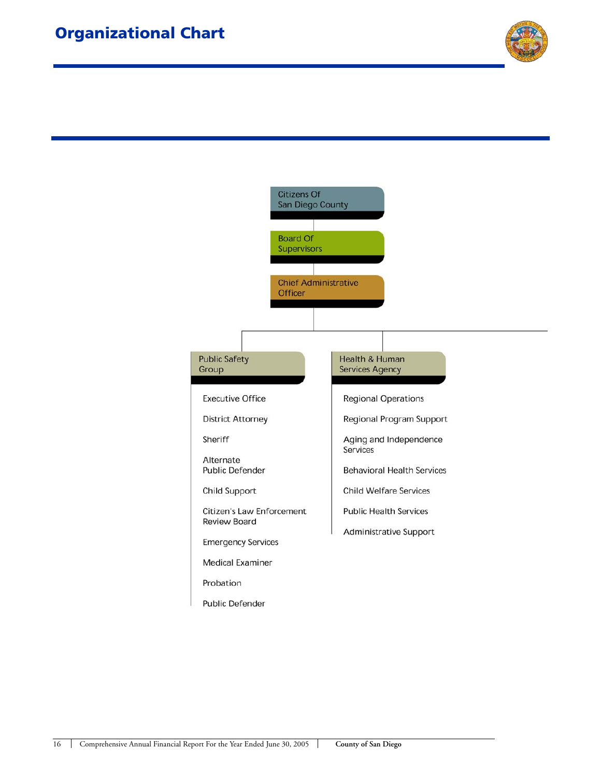

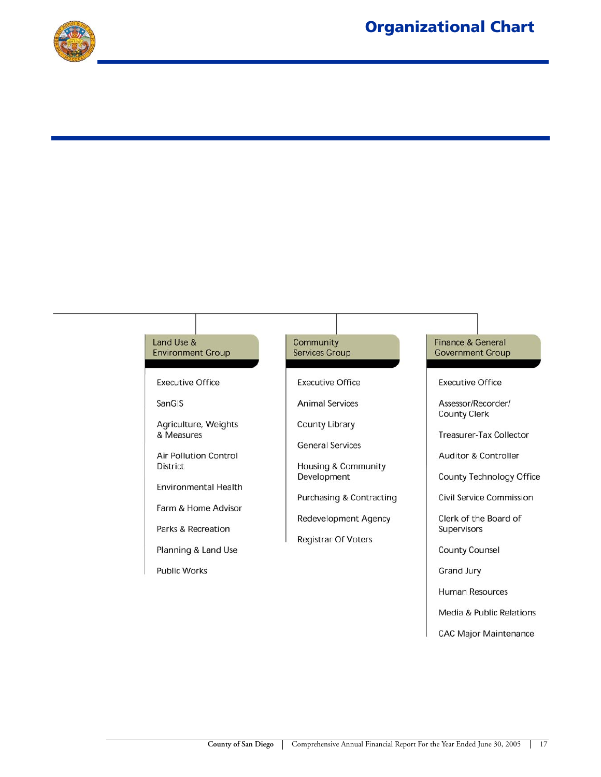

#### Land Use & Community **Finance & General Environment Group Services Group Government Group Executive Office Executive Office Executive Office** SanGIS **Animal Services** Assessor/Recorder/ **County Clerk** Agriculture, Weights County Library & Measures Treasurer-Tax Collector **General Services Air Pollution Control** Auditor & Controller **District Housing & Community** Development **County Technology Office** Environmental Health Purchasing & Contracting **Civil Service Commission** Farm & Home Advisor Redevelopment Agency Clerk of the Board of Parks & Recreation Supervisors **Registrar Of Voters** Planning & Land Use **County Counsel Public Works** Grand Jury **Human Resources** Media & Public Relations

**CAC Major Maintenance**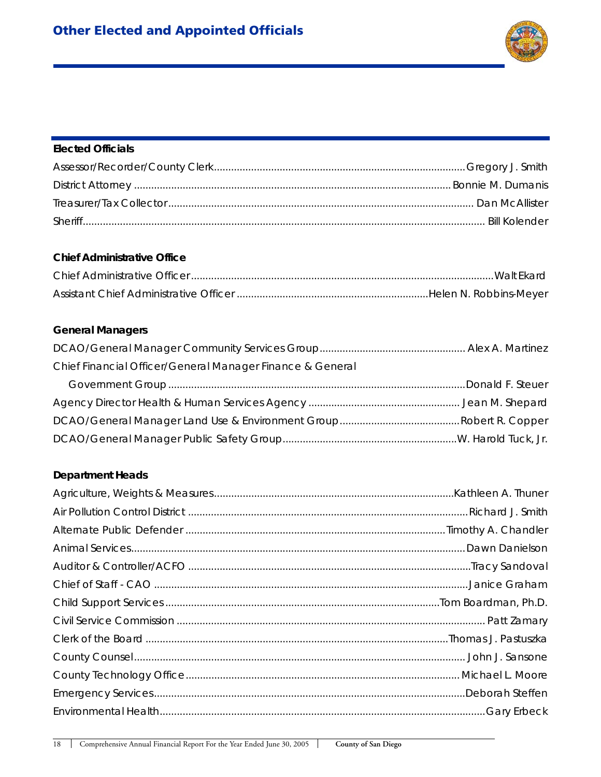

### **Elected Officials**

### **Chief Administrative Office**

# **General Managers**

| Chief Financial Officer/General Manager Finance & General |  |
|-----------------------------------------------------------|--|
|                                                           |  |
|                                                           |  |
|                                                           |  |
|                                                           |  |

## **Department Heads**